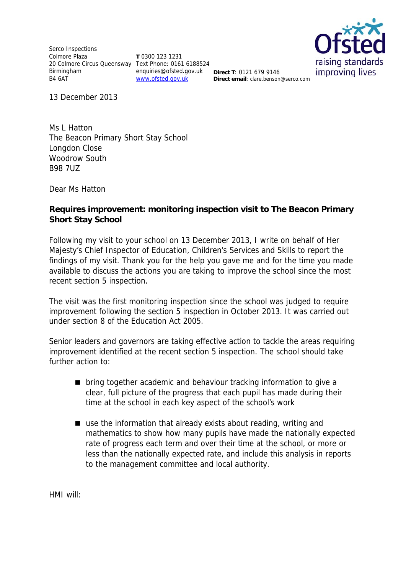Serco Inspections Colmore Plaza 20 Colmore Circus Queensway Text Phone: 0161 6188524 Birmingham B4 6AT

**T** 0300 123 1231 enquiries@ofsted.gov.uk **Direct T**: 0121 679 9146 www.ofsted.gov.uk



**Direct email**: clare.benson@serco.com

13 December 2013

Ms L Hatton The Beacon Primary Short Stay School Longdon Close Woodrow South B98 7UZ

Dear Ms Hatton

## **Requires improvement: monitoring inspection visit to The Beacon Primary Short Stay School**

Following my visit to your school on 13 December 2013, I write on behalf of Her Majesty's Chief Inspector of Education, Children's Services and Skills to report the findings of my visit. Thank you for the help you gave me and for the time you made available to discuss the actions you are taking to improve the school since the most recent section 5 inspection.

The visit was the first monitoring inspection since the school was judged to require improvement following the section 5 inspection in October 2013. It was carried out under section 8 of the Education Act 2005.

Senior leaders and governors are taking effective action to tackle the areas requiring improvement identified at the recent section 5 inspection. The school should take further action to:

- $\blacksquare$  bring together academic and behaviour tracking information to give a clear, full picture of the progress that each pupil has made during their time at the school in each key aspect of the school's work
- use the information that already exists about reading, writing and mathematics to show how many pupils have made the nationally expected rate of progress each term and over their time at the school, or more or less than the nationally expected rate, and include this analysis in reports to the management committee and local authority.

HMI will: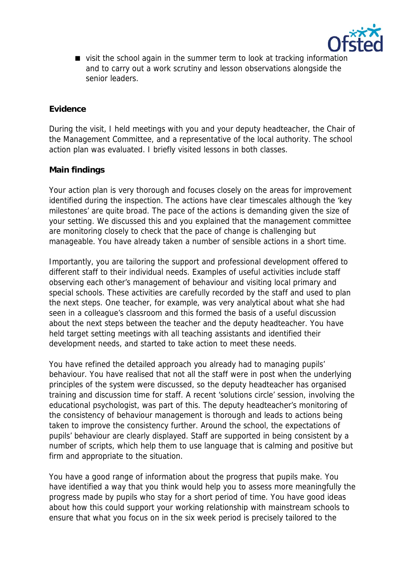

visit the school again in the summer term to look at tracking information and to carry out a work scrutiny and lesson observations alongside the senior leaders.

## **Evidence**

During the visit, I held meetings with you and your deputy headteacher, the Chair of the Management Committee, and a representative of the local authority. The school action plan was evaluated. I briefly visited lessons in both classes.

## **Main findings**

Your action plan is very thorough and focuses closely on the areas for improvement identified during the inspection. The actions have clear timescales although the 'key milestones' are quite broad. The pace of the actions is demanding given the size of your setting. We discussed this and you explained that the management committee are monitoring closely to check that the pace of change is challenging but manageable. You have already taken a number of sensible actions in a short time.

Importantly, you are tailoring the support and professional development offered to different staff to their individual needs. Examples of useful activities include staff observing each other's management of behaviour and visiting local primary and special schools. These activities are carefully recorded by the staff and used to plan the next steps. One teacher, for example, was very analytical about what she had seen in a colleague's classroom and this formed the basis of a useful discussion about the next steps between the teacher and the deputy headteacher. You have held target setting meetings with all teaching assistants and identified their development needs, and started to take action to meet these needs.

You have refined the detailed approach you already had to managing pupils' behaviour. You have realised that not all the staff were in post when the underlying principles of the system were discussed, so the deputy headteacher has organised training and discussion time for staff. A recent 'solutions circle' session, involving the educational psychologist, was part of this. The deputy headteacher's monitoring of the consistency of behaviour management is thorough and leads to actions being taken to improve the consistency further. Around the school, the expectations of pupils' behaviour are clearly displayed. Staff are supported in being consistent by a number of scripts, which help them to use language that is calming and positive but firm and appropriate to the situation.

You have a good range of information about the progress that pupils make. You have identified a way that you think would help you to assess more meaningfully the progress made by pupils who stay for a short period of time. You have good ideas about how this could support your working relationship with mainstream schools to ensure that what you focus on in the six week period is precisely tailored to the